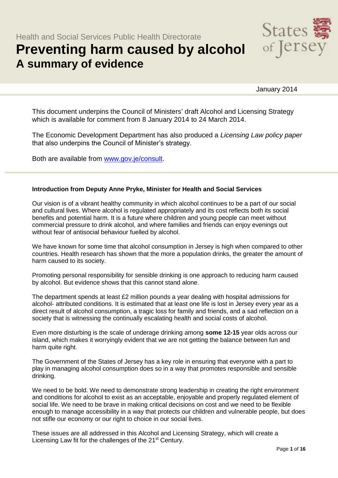# **Preventing harm caused by alcohol A summary of evidence**



January 2014

This document underpins the Council of Ministers' draft Alcohol and Licensing Strategy which is available for comment from 8 January 2014 to 24 March 2014.

The Economic Development Department has also produced a *Licensing Law policy paper* that also underpins the Council of Minister's strategy.

Both are available from [www.gov.je/consult.](http://www.gov.je/consult)

#### **Introduction from Deputy Anne Pryke, Minister for Health and Social Services**

Our vision is of a vibrant healthy community in which alcohol continues to be a part of our social and cultural lives. Where alcohol is regulated appropriately and its cost reflects both its social benefits and potential harm. It is a future where children and young people can meet without commercial pressure to drink alcohol, and where families and friends can enjoy evenings out without fear of antisocial behaviour fuelled by alcohol.

We have known for some time that alcohol consumption in Jersey is high when compared to other countries. Health research has shown that the more a population drinks, the greater the amount of harm caused to its society.

Promoting personal responsibility for sensible drinking is one approach to reducing harm caused by alcohol. But evidence shows that this cannot stand alone.

The department spends at least £2 million pounds a year dealing with hospital admissions for alcohol- attributed conditions. It is estimated that at least one life is lost in Jersey every year as a direct result of alcohol consumption, a tragic loss for family and friends, and a sad reflection on a society that is witnessing the continually escalating health and social costs of alcohol.

Even more disturbing is the scale of underage drinking among **some 12-15** year olds across our island, which makes it worryingly evident that we are not getting the balance between fun and harm quite right.

The Government of the States of Jersey has a key role in ensuring that everyone with a part to play in managing alcohol consumption does so in a way that promotes responsible and sensible drinking.

We need to be bold. We need to demonstrate strong leadership in creating the right environment and conditions for alcohol to exist as an acceptable, enjoyable and properly regulated element of social life. We need to be brave in making critical decisions on cost and we need to be flexible enough to manage accessibility in a way that protects our children and vulnerable people, but does not stifle our economy or our right to choice in our social lives.

These issues are all addressed in this Alcohol and Licensing Strategy, which will create a Licensing Law fit for the challenges of the 21<sup>st</sup> Century.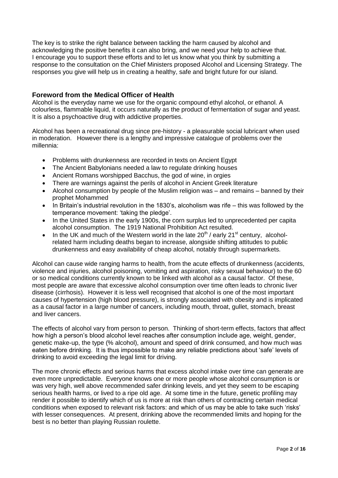The key is to strike the right balance between tackling the harm caused by alcohol and acknowledging the positive benefits it can also bring, and we need your help to achieve that. I encourage you to support these efforts and to let us know what you think by submitting a response to the consultation on the Chief Ministers proposed Alcohol and Licensing Strategy. The responses you give will help us in creating a healthy, safe and bright future for our island.

# **Foreword from the Medical Officer of Health**

Alcohol is the everyday name we use for the organic compound ethyl alcohol, or ethanol. A colourless, flammable liquid, it occurs naturally as the product of fermentation of sugar and yeast. It is also a psychoactive drug with addictive properties.

Alcohol has been a recreational drug since pre-history - a pleasurable social lubricant when used in moderation. However there is a lengthy and impressive catalogue of problems over the millennia:

- Problems with drunkenness are recorded in texts on Ancient Egypt
- The Ancient Babylonians needed a law to regulate drinking houses
- Ancient Romans worshipped Bacchus, the god of wine, in orgies
- There are warnings against the perils of alcohol in Ancient Greek literature
- Alcohol consumption by people of the Muslim religion was and remains banned by their prophet Mohammed
- $\bullet$  In Britain's industrial revolution in the 1830's, alcoholism was rife this was followed by the temperance movement: 'taking the pledge'.
- In the United States in the early 1900s, the corn surplus led to unprecedented per capita alcohol consumption. The 1919 National Prohibition Act resulted.
- In the UK and much of the Western world in the late  $20<sup>th</sup>$  / early  $21<sup>st</sup>$  century, alcoholrelated harm including deaths began to increase, alongside shifting attitudes to public drunkenness and easy availability of cheap alcohol, notably through supermarkets.

Alcohol can cause wide ranging harms to health, from the acute effects of drunkenness (accidents, violence and injuries, alcohol poisoning, vomiting and aspiration, risky sexual behaviour) to the 60 or so medical conditions currently known to be linked with alcohol as a causal factor. Of these, most people are aware that excessive alcohol consumption over time often leads to chronic liver disease (cirrhosis). However it is less well recognised that alcohol is one of the most important causes of hypertension (high blood pressure), is strongly associated with obesity and is implicated as a causal factor in a large number of cancers, including mouth, throat, gullet, stomach, breast and liver cancers.

The effects of alcohol vary from person to person. Thinking of short-term effects, factors that affect how high a person's blood alcohol level reaches after consumption include age, weight, gender, genetic make-up, the type (% alcohol), amount and speed of drink consumed, and how much was eaten before drinking. It is thus impossible to make any reliable predictions about 'safe' levels of drinking to avoid exceeding the legal limit for driving.

The more chronic effects and serious harms that excess alcohol intake over time can generate are even more unpredictable. Everyone knows one or more people whose alcohol consumption is or was very high, well above recommended safer drinking levels, and yet they seem to be escaping serious health harms, or lived to a ripe old age. At some time in the future, genetic profiling may render it possible to identify which of us is more at risk than others of contracting certain medical conditions when exposed to relevant risk factors: and which of us may be able to take such 'risks' with lesser consequences. At present, drinking above the recommended limits and hoping for the best is no better than playing Russian roulette.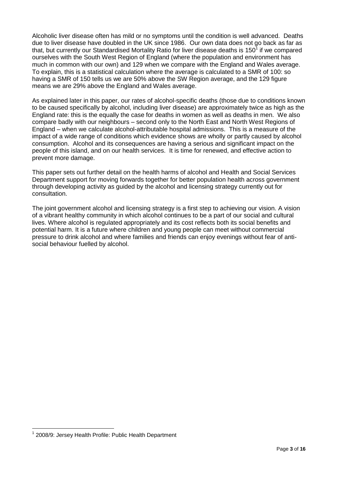Alcoholic liver disease often has mild or no symptoms until the condition is well advanced. Deaths due to liver disease have doubled in the UK since 1986. Our own data does not go back as far as that, but currently our Standardised Mortality Ratio for liver disease deaths is 150<sup>1</sup> if we compared ourselves with the South West Region of England (where the population and environment has much in common with our own) and 129 when we compare with the England and Wales average. To explain, this is a statistical calculation where the average is calculated to a SMR of 100: so having a SMR of 150 tells us we are 50% above the SW Region average, and the 129 figure means we are 29% above the England and Wales average.

As explained later in this paper, our rates of alcohol-specific deaths (those due to conditions known to be caused specifically by alcohol, including liver disease) are approximately twice as high as the England rate: this is the equally the case for deaths in women as well as deaths in men. We also compare badly with our neighbours – second only to the North East and North West Regions of England – when we calculate alcohol-attributable hospital admissions. This is a measure of the impact of a wide range of conditions which evidence shows are wholly or partly caused by alcohol consumption. Alcohol and its consequences are having a serious and significant impact on the people of this island, and on our health services. It is time for renewed, and effective action to prevent more damage.

This paper sets out further detail on the health harms of alcohol and Health and Social Services Department support for moving forwards together for better population health across government through developing activity as guided by the alcohol and licensing strategy currently out for consultation.

The joint government alcohol and licensing strategy is a first step to achieving our vision. A vision of a vibrant healthy community in which alcohol continues to be a part of our social and cultural lives. Where alcohol is regulated appropriately and its cost reflects both its social benefits and potential harm. It is a future where children and young people can meet without commercial pressure to drink alcohol and where families and friends can enjoy evenings without fear of antisocial behaviour fuelled by alcohol.

<sup>&</sup>lt;sup>1</sup> 2008/9: Jersey Health Profile: Public Health Department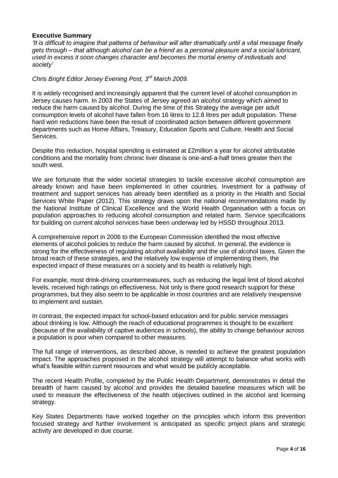#### **Executive Summary**

*'It is difficult to imagine that patterns of behaviour will alter dramatically until a vital message finally gets through – that although alcohol can be a friend as a personal pleasure and a social lubricant, used in excess it soon changes character and becomes the mortal enemy of individuals and society'*

## *Chris Bright Editor Jersey Evening Post, 3rd March 2009.*

It is widely recognised and increasingly apparent that the current level of alcohol consumption in Jersey causes harm. In 2003 the States of Jersey agreed an alcohol strategy which aimed to reduce the harm caused by alcohol. During the time of this Strategy the average per adult consumption levels of alcohol have fallen from 16 litres to 12.8 litres per adult population. These hard won reductions have been the result of coordinated action between different government departments such as Home Affairs, Treasury, Education Sports and Culture, Health and Social Services.

Despite this reduction, hospital spending is estimated at £2million a year for alcohol attributable conditions and the mortality from chronic liver disease is one-and-a-half times greater then the south west.

We are fortunate that the wider societal strategies to tackle excessive alcohol consumption are already known and have been implemented in other countries. Investment for a pathway of treatment and support services has already been identified as a priority in the Health and Social Services White Paper (2012). This strategy draws upon the national recommendations made by the National Institute of Clinical Excellence and the World Health Organisation with a focus on population approaches to reducing alcohol consumption and related harm. Service specifications for building on current alcohol services have been underway led by HSSD throughout 2013.

A comprehensive report in 2006 to the European Commission identified the most effective elements of alcohol policies to reduce the harm caused by alcohol. In general, the evidence is strong for the effectiveness of regulating alcohol availability and the use of alcohol taxes. Given the broad reach of these strategies, and the relatively low expense of implementing them, the expected impact of these measures on a society and its health is relatively high.

For example, most drink-driving countermeasures, such as reducing the legal limit of blood alcohol levels, received high ratings on effectiveness. Not only is there good research support for these programmes, but they also seem to be applicable in most countries and are relatively inexpensive to implement and sustain.

In contrast, the expected impact for school-based education and for public service messages about drinking is low. Although the reach of educational programmes is thought to be excellent (because of the availability of captive audiences in schools), the ability to change behaviour across a population is poor when compared to other measures.

The full range of interventions, as described above, is needed to achieve the greatest population impact. The approaches proposed in the alcohol strategy will attempt to balance what works with what's feasible within current resources and what would be publicly acceptable.

The recent Health Profile, completed by the Public Health Department, demonstrates in detail the breadth of harm caused by alcohol and provides the detailed baseline measures which will be used to measure the effectiveness of the health objectives outlined in the alcohol and licensing strategy.

Key States Departments have worked together on the principles which inform this prevention focused strategy and further involvement is anticipated as specific project plans and strategic activity are developed in due course.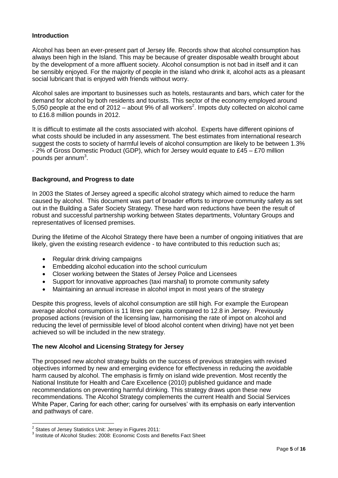## **Introduction**

Alcohol has been an ever-present part of Jersey life. Records show that alcohol consumption has always been high in the Island. This may be because of greater disposable wealth brought about by the development of a more affluent society. Alcohol consumption is not bad in itself and it can be sensibly enjoyed. For the majority of people in the island who drink it, alcohol acts as a pleasant social lubricant that is enjoyed with friends without worry.

Alcohol sales are important to businesses such as hotels, restaurants and bars, which cater for the demand for alcohol by both residents and tourists. This sector of the economy employed around 5,050 people at the end of 2012 – about 9% of all workers<sup>2</sup>. Impots duty collected on alcohol came to £16.8 million pounds in 2012.

It is difficult to estimate all the costs associated with alcohol. Experts have different opinions of what costs should be included in any assessment. The best estimates from international research suggest the costs to society of harmful levels of alcohol consumption are likely to be between 1.3% - 2% of Gross Domestic Product (GDP), which for Jersey would equate to £45 – £70 million pounds per annum<sup>3</sup>.

#### **Background, and Progress to date**

In 2003 the States of Jersey agreed a specific alcohol strategy which aimed to reduce the harm caused by alcohol. This document was part of broader efforts to improve community safety as set out in the Building a Safer Society Strategy. These hard won reductions have been the result of robust and successful partnership working between States departments, Voluntary Groups and representatives of licensed premises.

During the lifetime of the Alcohol Strategy there have been a number of ongoing initiatives that are likely, given the existing research evidence - to have contributed to this reduction such as;

- Regular drink driving campaigns
- Embedding alcohol education into the school curriculum
- Closer working between the States of Jersey Police and Licensees
- Support for innovative approaches (taxi marshal) to promote community safety
- Maintaining an annual increase in alcohol impot in most years of the strategy

Despite this progress, levels of alcohol consumption are still high. For example the European average alcohol consumption is 11 litres per capita compared to 12.8 in Jersey. Previously proposed actions (revision of the licensing law, harmonising the rate of impot on alcohol and reducing the level of permissible level of blood alcohol content when driving) have not yet been achieved so will be included in the new strategy.

#### **The new Alcohol and Licensing Strategy for Jersey**

The proposed new alcohol strategy builds on the success of previous strategies with revised objectives informed by new and emerging evidence for effectiveness in reducing the avoidable harm caused by alcohol. The emphasis is firmly on island wide prevention. Most recently the National Institute for Health and Care Excellence (2010) published guidance and made recommendations on preventing harmful drinking. This strategy draws upon these new recommendations. The Alcohol Strategy complements the current Health and Social Services White Paper, Caring for each other; caring for ourselves' with its emphasis on early intervention and pathways of care.

 2 States of Jersey Statistics Unit: Jersey in Figures 2011:

<sup>&</sup>lt;sup>3</sup> Institute of Alcohol Studies: 2008: Economic Costs and Benefits Fact Sheet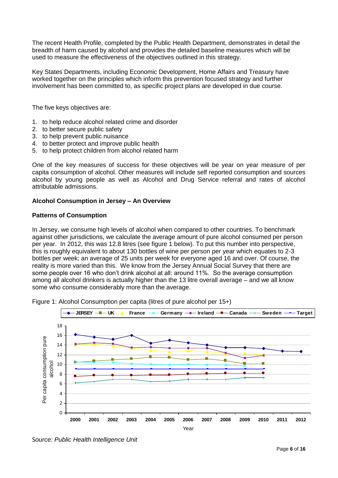The recent Health Profile, completed by the Public Health Department, demonstrates in detail the breadth of harm caused by alcohol and provides the detailed baseline measures which will be used to measure the effectiveness of the objectives outlined in this strategy.

Key States Departments, including Economic Development, Home Affairs and Treasury have worked together on the principles which inform this prevention focused strategy and further involvement has been committed to, as specific project plans are developed in due course.

The five keys objectives are:

- 1. to help reduce alcohol related crime and disorder
- 2. to better secure public safety
- 3. to help prevent public nuisance
- 4. to better protect and improve public health
- 5. to help protect children from alcohol related harm

One of the key measures of success for these objectives will be year on year measure of per capita consumption of alcohol. Other measures will include self reported consumption and sources alcohol by young people as well as Alcohol and Drug Service referral and rates of alcohol attributable admissions.

#### **Alcohol Consumption in Jersey – An Overview**

#### **Patterns of Consumption**

In Jersey, we consume high levels of alcohol when compared to other countries. To benchmark against other jurisdictions, we calculate the average amount of pure alcohol consumed per person per year. In 2012, this was 12.8 litres (see figure 1 below). To put this number into perspective, this is roughly equivalent to about 130 bottles of wine per person per year which equates to 2-3 bottles per week; an average of 25 units per week for everyone aged 16 and over. Of course, the reality is more varied than this. We know from the Jersey Annual Social Survey that there are some people over 16 who don't drink alcohol at all: around 11%. So the average consumption among all alcohol drinkers is actually higher than the 13 litre overall average – and we all know some who consume considerably more than the average.



Figure 1: Alcohol Consumption per capita (litres of pure alcohol per 15+)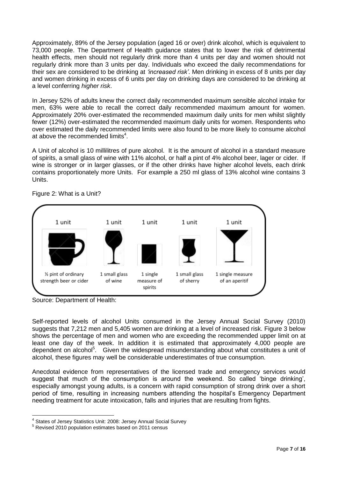Approximately, 89% of the Jersey population (aged 16 or over) drink alcohol, which is equivalent to 73,000 people. The Department of Health guidance states that to lower the risk of detrimental health effects, men should not regularly drink more than 4 units per day and women should not regularly drink more than 3 units per day. Individuals who exceed the daily recommendations for their sex are considered to be drinking at *'increased risk'*. Men drinking in excess of 8 units per day and women drinking in excess of 6 units per day on drinking days are considered to be drinking at a level conferring *higher risk*.

In Jersey 52% of adults knew the correct daily recommended maximum sensible alcohol intake for men, 63% were able to recall the correct daily recommended maximum amount for women. Approximately 20% over-estimated the recommended maximum daily units for men whilst slightly fewer (12%) over-estimated the recommended maximum daily units for women. Respondents who over estimated the daily recommended limits were also found to be more likely to consume alcohol at above the recommended limits<sup>4</sup>.

A Unit of alcohol is 10 millilitres of pure alcohol. It is the amount of alcohol in a standard measure of spirits, a small glass of wine with 11% alcohol, or half a pint of 4% alcohol beer, lager or cider. If wine is stronger or in larger glasses, or if the other drinks have higher alcohol levels, each drink contains proportionately more Units. For example a 250 ml glass of 13% alcohol wine contains 3 Units.



Figure 2: What is a Unit?

Source: Department of Health:

 $\overline{a}$ 

Self-reported levels of alcohol Units consumed in the Jersey Annual Social Survey (2010) suggests that 7,212 men and 5,405 women are drinking at a level of increased risk. Figure 3 below shows the percentage of men and women who are exceeding the recommended upper limit on at least one day of the week. In addition it is estimated that approximately 4,000 people are dependent on alcohol<sup>5</sup>. Given the widespread misunderstanding about what constitutes a unit of alcohol, these figures may well be considerable underestimates of true consumption.

Anecdotal evidence from representatives of the licensed trade and emergency services would suggest that much of the consumption is around the weekend. So called 'binge drinking', especially amongst young adults, is a concern with rapid consumption of strong drink over a short period of time, resulting in increasing numbers attending the hospital's Emergency Department needing treatment for acute intoxication, falls and injuries that are resulting from fights.

<sup>&</sup>lt;sup>4</sup> States of Jersey Statistics Unit: 2008: Jersey Annual Social Survey

<sup>5</sup> Revised 2010 population estimates based on 2011 census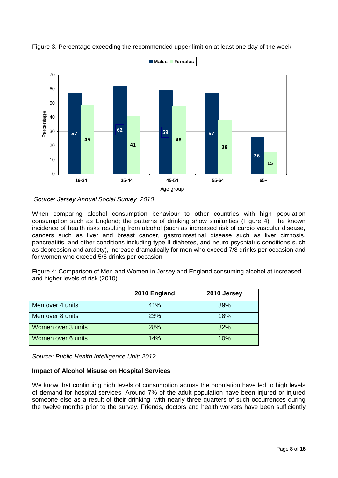

Figure 3. Percentage exceeding the recommended upper limit on at least one day of the week

*Source: Jersey Annual Social Survey 2010*

When comparing alcohol consumption behaviour to other countries with high population consumption such as England; the patterns of drinking show similarities (Figure 4). The known incidence of health risks resulting from alcohol (such as increased risk of cardio vascular disease, cancers such as liver and breast cancer, gastrointestinal disease such as liver cirrhosis, pancreatitis, and other conditions including type II diabetes, and neuro psychiatric conditions such as depression and anxiety), increase dramatically for men who exceed 7/8 drinks per occasion and for women who exceed 5/6 drinks per occasion.

Figure 4: Comparison of Men and Women in Jersey and England consuming alcohol at increased and higher levels of risk (2010)

|                    | 2010 England | 2010 Jersey |
|--------------------|--------------|-------------|
| Men over 4 units   | 41%          | 39%         |
| Men over 8 units   | 23%          | 18%         |
| Women over 3 units | 28%          | 32%         |
| Women over 6 units | 14%          | 10%         |

*Source: Public Health Intelligence Unit: 2012*

## **Impact of Alcohol Misuse on Hospital Services**

We know that continuing high levels of consumption across the population have led to high levels of demand for hospital services. Around 7% of the adult population have been injured or injured someone else as a result of their drinking, with nearly three-quarters of such occurrences during the twelve months prior to the survey. Friends, doctors and health workers have been sufficiently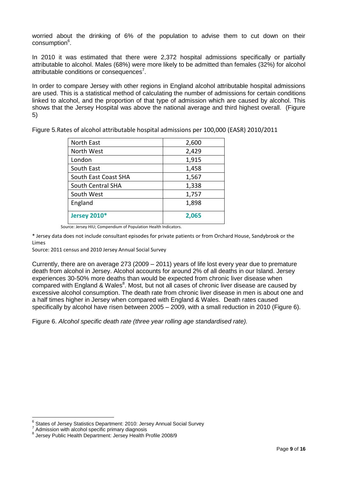worried about the drinking of 6% of the population to advise them to cut down on their consumption<sup>6</sup>.

In 2010 it was estimated that there were 2,372 hospital admissions specifically or partially attributable to alcohol. Males (68%) were more likely to be admitted than females (32%) for alcohol attributable conditions or consequences<sup>7</sup>.

In order to compare Jersey with other regions in England alcohol attributable hospital admissions are used. This is a statistical method of calculating the number of admissions for certain conditions linked to alcohol, and the proportion of that type of admission which are caused by alcohol. This shows that the Jersey Hospital was above the national average and third highest overall. (Figure 5)

| North East           | 2,600 |
|----------------------|-------|
| North West           | 2,429 |
| London               | 1,915 |
| South East           | 1,458 |
| South East Coast SHA | 1,567 |
| South Central SHA    | 1,338 |
| South West           | 1,757 |
| England              | 1,898 |
| <b>Jersey 2010*</b>  | 2,065 |

Figure 5.Rates of alcohol attributable hospital admissions per 100,000 (EASR) 2010/2011

\* Jersey data does not include consultant episodes for private patients or from Orchard House, Sandybrook or the Limes

Source: 2011 census and 2010 Jersey Annual Social Survey

Currently, there are on average 273 (2009 – 2011) years of life lost every year due to premature death from alcohol in Jersey. Alcohol accounts for around 2% of all deaths in our Island. Jersey experiences 30-50% more deaths than would be expected from chronic liver disease when compared with England & Wales $^8$ . Most, but not all cases of chronic liver disease are caused by excessive alcohol consumption. The death rate from chronic liver disease in men is about one and a half times higher in Jersey when compared with England & Wales. Death rates caused specifically by alcohol have risen between 2005 – 2009, with a small reduction in 2010 (Figure 6).

Figure 6. *Alcohol specific death rate (three year rolling age standardised rate).*

Source: Jersey HIU; Compendium of Population Health Indicators.

<sup>6</sup> States of Jersey Statistics Department: 2010: Jersey Annual Social Survey

<sup>7</sup> Admission with alcohol specific primary diagnosis

<sup>8</sup> Jersey Public Health Department: Jersey Health Profile 2008/9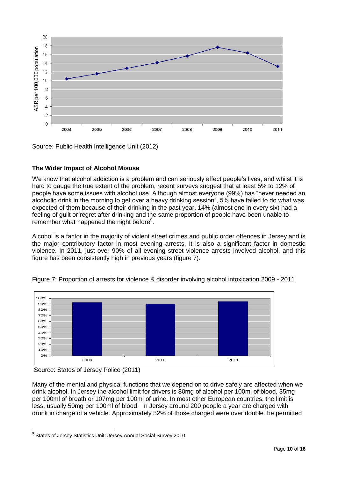

Source: Public Health Intelligence Unit (2012)

# **The Wider Impact of Alcohol Misuse**

We know that alcohol addiction is a problem and can seriously affect people's lives, and whilst it is hard to gauge the true extent of the problem, recent surveys suggest that at least 5% to 12% of people have some issues with alcohol use. Although almost everyone (99%) has "never needed an alcoholic drink in the morning to get over a heavy drinking session", 5% have failed to do what was expected of them because of their drinking in the past year, 14% (almost one in every six) had a feeling of guilt or regret after drinking and the same proportion of people have been unable to remember what happened the night before<sup>9</sup>.

Alcohol is a factor in the majority of violent street crimes and public order offences in Jersey and is the major contributory factor in most evening arrests. It is also a significant factor in domestic violence. In 2011, just over 90% of all evening street violence arrests involved alcohol, and this figure has been consistently high in previous years (figure 7).



## Figure 7: Proportion of arrests for violence & disorder involving alcohol intoxication 2009 - 2011

Many of the mental and physical functions that we depend on to drive safely are affected when we drink alcohol. In Jersey the alcohol limit for drivers is 80mg of alcohol per 100ml of blood, 35mg per 100ml of breath or 107mg per 100ml of urine. In most other European countries, the limit is less, usually 50mg per 100ml of blood. In Jersey around 200 people a year are charged with drunk in charge of a vehicle. Approximately 52% of those charged were over double the permitted

Source: States of Jersey Police (2011)

 9 States of Jersey Statistics Unit: Jersey Annual Social Survey 2010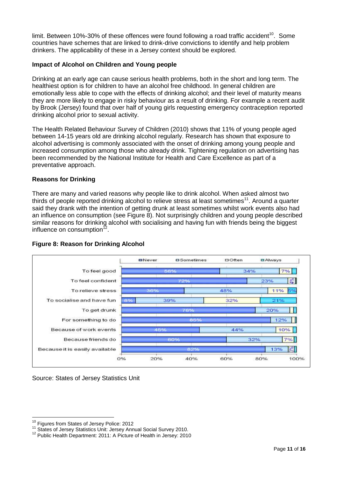limit. Between 10%-30% of these offences were found following a road traffic accident<sup>10</sup>. Some countries have schemes that are linked to drink-drive convictions to identify and help problem drinkers. The applicability of these in a Jersey context should be explored.

## **Impact of Alcohol on Children and Young people**

Drinking at an early age can cause serious health problems, both in the short and long term. The healthiest option is for children to have an alcohol free childhood. In general children are emotionally less able to cope with the effects of drinking alcohol; and their level of maturity means they are more likely to engage in risky behaviour as a result of drinking. For example a recent audit by Brook (Jersey) found that over half of young girls requesting emergency contraception reported drinking alcohol prior to sexual activity.

The Health Related Behaviour Survey of Children (2010) shows that 11% of young people aged between 14-15 years old are drinking alcohol regularly. Research has shown that exposure to alcohol advertising is commonly associated with the onset of drinking among young people and increased consumption among those who already drink. Tightening regulation on advertising has been recommended by the National Institute for Health and Care Excellence as part of a preventative approach.

# **Reasons for Drinking**

There are many and varied reasons why people like to drink alcohol. When asked almost two thirds of people reported drinking alcohol to relieve stress at least sometimes<sup>11</sup>. Around a quarter said they drank with the intention of getting drunk at least sometimes whilst work events also had an influence on consumption (see Figure 8). Not surprisingly children and young people described similar reasons for drinking alcohol with socialising and having fun with friends being the biggest influence on consumption<sup>12</sup>.



## **Figure 8: Reason for Drinking Alcohol**

Source: States of Jersey Statistics Unit

<sup>&</sup>lt;sup>10</sup> Figures from States of Jersey Police: 2012

<sup>11</sup> States of Jersey Statistics Unit: Jersey Annual Social Survey 2010.

<sup>12</sup> Public Health Department: 2011: A Picture of Health in Jersey: 2010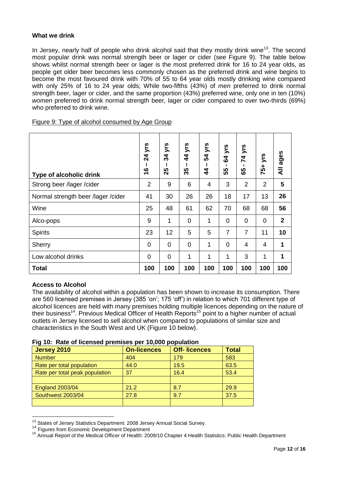## **What we drink**

In Jersey, nearly half of people who drink alcohol said that they mostly drink wine<sup>13</sup>. The second most popular drink was normal strength beer or lager or cider (see Figure 9). The table below shows whilst normal strength beer or lager is the most preferred drink for 16 to 24 year olds, as people get older beer becomes less commonly chosen as the preferred drink and wine begins to become the most favoured drink with 70% of 55 to 64 year olds mostly drinking wine compared with only 25% of 16 to 24 year olds; While two-fifths (43%) of *men* preferred to drink normal strength beer, lager or cider, and the same proportion (43%) preferred wine, only one in ten (10%) *women* preferred to drink normal strength beer, lager or cider compared to over two-thirds (69%) who preferred to drink wine.

| Figure 9: Type of alcohol consumed by Age Group |
|-------------------------------------------------|
|-------------------------------------------------|

| Type of alcoholic drink            | <b>24 yrs</b><br>ဖ<br>÷ | yrs<br>34<br>25 | 44 yrs<br><u> ဟ</u><br>ო | yrs<br>54<br>$\boldsymbol{4}$ | yrs<br>$\mathbf{g}$<br>55 | yrs<br>$\overline{7}$<br>မ္မ | yrs<br>75+     | All ages    |
|------------------------------------|-------------------------|-----------------|--------------------------|-------------------------------|---------------------------|------------------------------|----------------|-------------|
| Strong beer /lager /cider          | $\overline{2}$          | 9               | 6                        | 4                             | 3                         | $\overline{2}$               | $\overline{2}$ | 5           |
| Normal strength beer /lager /cider | 41                      | 30              | 26                       | 26                            | 18                        | 17                           | 13             | 26          |
| Wine                               | 25                      | 48              | 61                       | 62                            | 70                        | 68                           | 68             | 56          |
| Alco-pops                          | 9                       | 1               | $\mathbf 0$              | 1                             | 0                         | $\mathbf 0$                  | $\overline{0}$ | $\mathbf 2$ |
| <b>Spirits</b>                     | 23                      | 12              | 5                        | 5                             | $\overline{7}$            | $\overline{7}$               | 11             | 10          |
| Sherry                             | 0                       | $\overline{0}$  | $\overline{0}$           | 1                             | $\overline{0}$            | 4                            | 4              | 1           |
| Low alcohol drinks                 | 0                       | $\overline{0}$  | 1                        | 1                             | 1                         | 3                            | 1              | 1           |
| <b>Total</b>                       | 100                     | 100             | 100                      | 100                           | 100                       | 100                          | 100            | 100         |

## **Access to Alcohol**

 $\overline{a}$ 

The availability of alcohol within a population has been shown to increase its consumption. There are 560 licensed premises in Jersey (385 'on'; 175 'off') in relation to which 701 different type of alcohol licences are held with many premises holding multiple licences depending on the nature of their business<sup>14</sup>. Previous Medical Officer of Health Reports<sup>15</sup> point to a higher number of actual outlets in Jersey licensed to sell alcohol when compared to populations of similar size and characteristics in the South West and UK (Figure 10 below).

|  | Fig 10: Rate of licensed premises per 10,000 population |  |  |  |
|--|---------------------------------------------------------|--|--|--|
|--|---------------------------------------------------------|--|--|--|

| <b>Jersey 2010</b>             | <b>On-licences</b> | <b>Off-Iicences</b> | <b>Total</b> |  |
|--------------------------------|--------------------|---------------------|--------------|--|
| <b>Number</b>                  | 404                | 179                 | 583          |  |
| Rate per total population      | 44.0               | 19.5                | 63.5         |  |
| Rate per total peak population | 37                 | 16.4                | 53.4         |  |
|                                |                    |                     |              |  |
| <b>England 2003/04</b>         | 21.2               | 8.7                 | 29.9         |  |
| Southwest 2003/04              | 27.8               | 9.7                 | 37.5         |  |
|                                |                    |                     |              |  |

 $13$  States of Jersey Statistics Department: 2008 Jersey Annual Social Survey.

<sup>&</sup>lt;sup>14</sup> Figures from Economic Development Department

<sup>&</sup>lt;sup>15</sup> Annual Report of the Medical Officer of Health: 2009/10 Chapter 4 Health Statistics: Public Health Department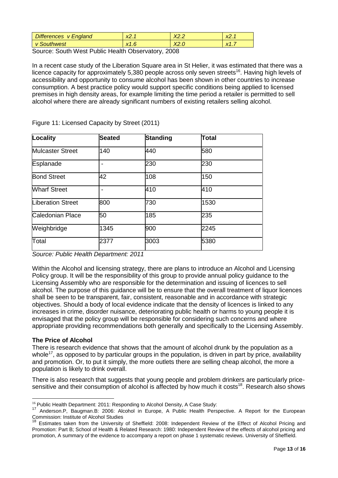| <b>Differences</b> | $\sqrt{ }$     | $\sqrt{2}$ | $\sqrt{ }$    |
|--------------------|----------------|------------|---------------|
| v England          | л.             | 72.Z       | $\sim$ $\sim$ |
| Southwest          | $\mathbf{v}$ 1 | $\sqrt{2}$ | $\sqrt{4}$    |
| V                  | 81.U           | AZ.U       | $\sim$        |

Source: South West Public Health Observatory, 2008

In a recent case study of the Liberation Square area in St Helier, it was estimated that there was a licence capacity for approximately 5,380 people across only seven streets<sup>16</sup>. Having high levels of accessibility and opportunity to consume alcohol has been shown in other countries to increase consumption. A best practice policy would support specific conditions being applied to licensed premises in high density areas, for example limiting the time period a retailer is permitted to sell alcohol where there are already significant numbers of existing retailers selling alcohol.

| Locality                | <b>Seated</b> | <b>Standing</b> | Total |  |
|-------------------------|---------------|-----------------|-------|--|
| <b>Mulcaster Street</b> | 140           | 440             | 580   |  |
| Esplanade               |               | 230             | 230   |  |
| <b>Bond Street</b>      | 42            | 108             | 150   |  |
| <b>Wharf Street</b>     |               | 410             | 410   |  |
| Liberation Street       | 800           | 730             | 1530  |  |
| Caledonian Place        | 50            | 185             | 235   |  |
| Weighbridge             | 1345          | 900             | 2245  |  |
| Total                   | 2377          | 3003            | 5380  |  |

Figure 11: Licensed Capacity by Street (2011)

*Source: Public Health Department: 2011*

Within the Alcohol and licensing strategy, there are plans to introduce an Alcohol and Licensing Policy group. It will be the responsibility of this group to provide annual policy guidance to the Licensing Assembly who are responsible for the determination and issuing of licences to sell alcohol. The purpose of this guidance will be to ensure that the overall treatment of liquor licences shall be seen to be transparent, fair, consistent, reasonable and in accordance with strategic objectives. Should a body of local evidence indicate that the density of licences is linked to any increases in crime, disorder nuisance, deteriorating public health or harms to young people it is envisaged that the policy group will be responsible for considering such concerns and where appropriate providing recommendations both generally and specifically to the Licensing Assembly.

## **The Price of Alcohol**

There is research evidence that shows that the amount of alcohol drunk by the population as a whole<sup>17</sup>, as opposed to by particular groups in the population, is driven in part by price, availability and promotion. Or, to put it simply, the more outlets there are selling cheap alcohol, the more a population is likely to drink overall.

There is also research that suggests that young people and problem drinkers are particularly pricesensitive and their consumption of alcohol is affected by how much it costs<sup>18</sup>. Research also shows

<sup>&</sup>lt;sup>16</sup> Public Health Department: 2011: Responding to Alcohol Density, A Case Study:

<sup>17</sup> Anderson.P, Baugman.B: 2006: Alcohol in Europe, A Public Health Perspective. A Report for the European Commission: Institute of Alcohol Studies

<sup>&</sup>lt;sup>18</sup> Estimates taken from the University of Sheffield: 2008: Independent Review of the Effect of Alcohol Pricing and Promotion: Part B; School of Health & Related Research: 1980: Independent Review of the effects of alcohol pricing and promotion, A summary of the evidence to accompany a report on phase 1 systematic reviews. University of Sheffield.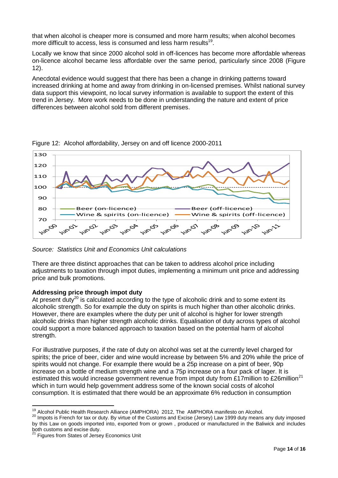that when alcohol is cheaper more is consumed and more harm results; when alcohol becomes more difficult to access, less is consumed and less harm results<sup>19</sup>.

Locally we know that since 2000 alcohol sold in off-licences has become more affordable whereas on-licence alcohol became less affordable over the same period, particularly since 2008 (Figure 12).

Anecdotal evidence would suggest that there has been a change in drinking patterns toward increased drinking at home and away from drinking in on-licensed premises. Whilst national survey data support this viewpoint, no local survey information is available to support the extent of this trend in Jersey. More work needs to be done in understanding the nature and extent of price differences between alcohol sold from different premises.



Figure 12: Alcohol affordability, Jersey on and off licence 2000-2011

There are three distinct approaches that can be taken to address alcohol price including adjustments to taxation through impot duties, implementing a minimum unit price and addressing price and bulk promotions.

## **Addressing price through impot duty**

At present  $\text{duty}^{20}$  is calculated according to the type of alcoholic drink and to some extent its alcoholic strength. So for example the duty on spirits is much higher than other alcoholic drinks. However, there are examples where the duty per unit of alcohol is higher for lower strength alcoholic drinks than higher strength alcoholic drinks. Equalisation of duty across types of alcohol could support a more balanced approach to taxation based on the potential harm of alcohol strength.

For illustrative purposes, if the rate of duty on alcohol was set at the currently level charged for spirits; the price of beer, cider and wine would increase by between 5% and 20% while the price of spirits would not change. For example there would be a 25p increase on a pint of beer, 90p increase on a bottle of medium strength wine and a 75p increase on a four pack of lager. It is estimated this would increase government revenue from impot duty from £17million to £26million<sup>21</sup> which in turn would help government address some of the known social costs of alcohol consumption. It is estimated that there would be an approximate 6% reduction in consumption

*Source: Statistics Unit and Economics Unit calculations*

 $\overline{a}$  $19$  Alcohol Public Health Research Alliance (AMPHORA) 2012, The AMPHORA manifesto on Alcohol.

<sup>20</sup> Impots is French for tax or duty. By virtue of the Customs and Excise (Jersey) Law 1999 duty means any duty imposed by this Law on goods imported into, exported from or grown , produced or manufactured in the Baliwick and includes both customs and excise duty.

<sup>&</sup>lt;sup>21</sup> Figures from States of Jersey Economics Unit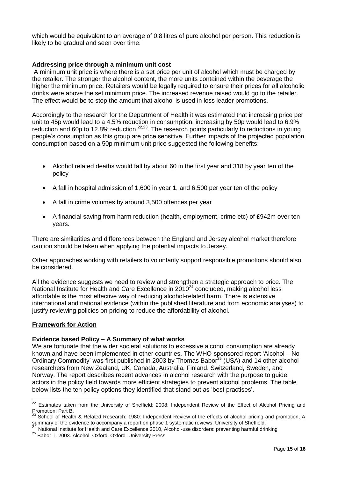which would be equivalent to an average of 0.8 litres of pure alcohol per person. This reduction is likely to be gradual and seen over time.

#### **Addressing price through a minimum unit cost**

A minimum unit price is where there is a set price per unit of alcohol which must be charged by the retailer. The stronger the alcohol content, the more units contained within the beverage the higher the minimum price. Retailers would be legally required to ensure their prices for all alcoholic drinks were above the set minimum price. The increased revenue raised would go to the retailer. The effect would be to stop the amount that alcohol is used in loss leader promotions.

Accordingly to the research for the Department of Health it was estimated that increasing price per unit to 45p would lead to a 4.5% reduction in consumption, increasing by 50p would lead to 6.9% reduction and 60p to 12.8% reduction  $22,23$ . The research points particularly to reductions in young people's consumption as this group are price sensitive. Further impacts of the projected population consumption based on a 50p minimum unit price suggested the following benefits:

- Alcohol related deaths would fall by about 60 in the first year and 318 by year ten of the policy
- A fall in hospital admission of 1,600 in year 1, and 6,500 per year ten of the policy
- A fall in crime volumes by around 3,500 offences per year
- A financial saving from harm reduction (health, employment, crime etc) of £942m over ten years.

There are similarities and differences between the England and Jersey alcohol market therefore caution should be taken when applying the potential impacts to Jersey.

Other approaches working with retailers to voluntarily support responsible promotions should also be considered.

All the evidence suggests we need to review and strengthen a strategic approach to price. The National Institute for Health and Care Excellence in 2010<sup>24</sup> concluded, making alcohol less affordable is the most effective way of reducing alcohol-related harm. There is extensive international and national evidence (within the published literature and from economic analyses) to justify reviewing policies on pricing to reduce the affordability of alcohol.

#### **Framework for Action**

 $\overline{a}$ 

#### **Evidence based Policy – A Summary of what works**

We are fortunate that the wider societal solutions to excessive alcohol consumption are already known and have been implemented in other countries. The WHO-sponsored report 'Alcohol – No Ordinary Commodity' was first published in 2003 by Thomas Babor<sup>25</sup> (USA) and 14 other alcohol researchers from New Zealand, UK, Canada, Australia, Finland, Switzerland, Sweden, and Norway. The report describes recent advances in alcohol research with the purpose to guide actors in the policy field towards more efficient strategies to prevent alcohol problems. The table below lists the ten policy options they identified that stand out as 'best practises'.

 $22$  Estimates taken from the University of Sheffield: 2008: Independent Review of the Effect of Alcohol Pricing and Promotion: Part B.<br><sup>23</sup> C.

School of Health & Related Research: 1980: Independent Review of the effects of alcohol pricing and promotion, A summary of the evidence to accompany a report on phase 1 systematic reviews. University of Sheffield.

<sup>24</sup> National Institute for Health and Care Excellence 2010, Alcohol-use disorders: preventing harmful drinking

<sup>25</sup> Babor T. 2003. Alcohol. Oxford: Oxford University Press